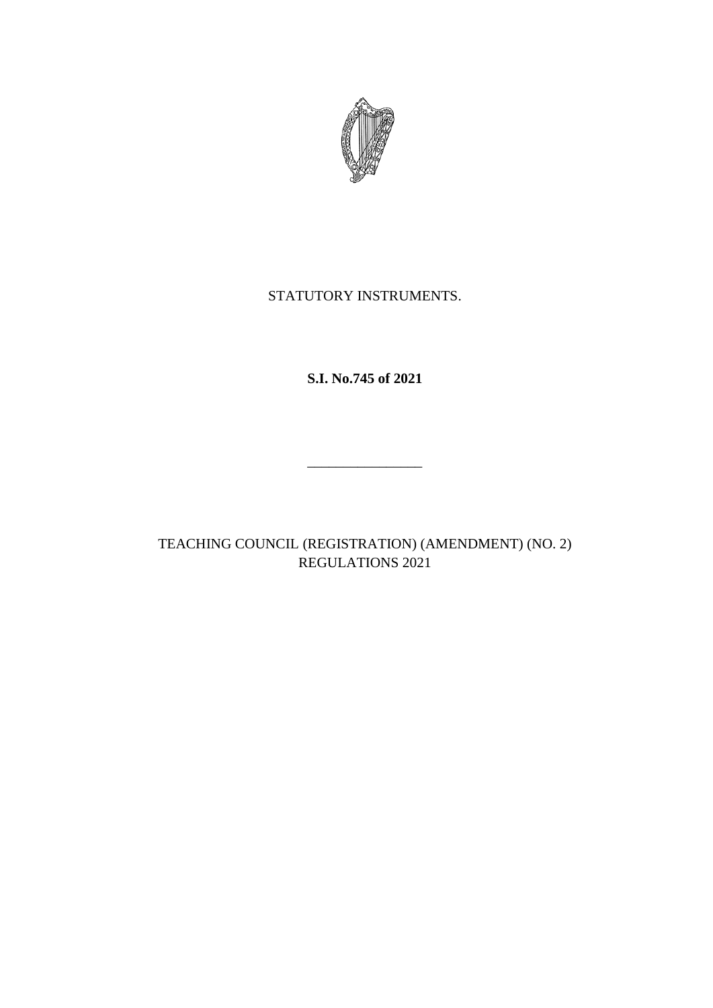

# STATUTORY INSTRUMENTS.

**S.I. No.745 of 2021**

\_\_\_\_\_\_\_\_\_\_\_\_\_\_\_\_

TEACHING COUNCIL (REGISTRATION) (AMENDMENT) (NO. 2) REGULATIONS 2021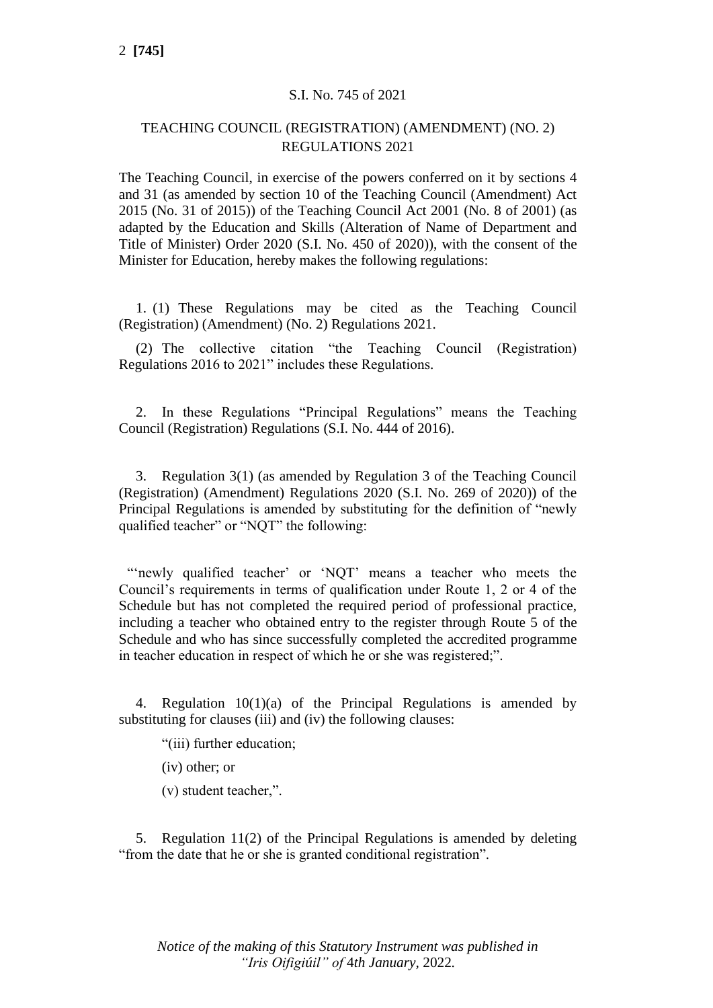### S.I. No. 745 of 2021

### TEACHING COUNCIL (REGISTRATION) (AMENDMENT) (NO. 2) REGULATIONS 2021

The Teaching Council, in exercise of the powers conferred on it by sections 4 and 31 (as amended by section 10 of the Teaching Council (Amendment) Act 2015 (No. 31 of 2015)) of the Teaching Council Act 2001 (No. 8 of 2001) (as adapted by the Education and Skills (Alteration of Name of Department and Title of Minister) Order 2020 (S.I. No. 450 of 2020)), with the consent of the Minister for Education, hereby makes the following regulations:

1. (1) These Regulations may be cited as the Teaching Council (Registration) (Amendment) (No. 2) Regulations 2021.

(2) The collective citation "the Teaching Council (Registration) Regulations 2016 to 2021" includes these Regulations.

2. In these Regulations "Principal Regulations" means the Teaching Council (Registration) Regulations (S.I. No. 444 of 2016).

3. Regulation 3(1) (as amended by Regulation 3 of the Teaching Council (Registration) (Amendment) Regulations 2020 (S.I. No. 269 of 2020)) of the Principal Regulations is amended by substituting for the definition of "newly qualified teacher" or "NQT" the following:

"'newly qualified teacher' or 'NQT' means a teacher who meets the Council's requirements in terms of qualification under Route 1, 2 or 4 of the Schedule but has not completed the required period of professional practice, including a teacher who obtained entry to the register through Route 5 of the Schedule and who has since successfully completed the accredited programme in teacher education in respect of which he or she was registered;".

4. Regulation 10(1)(a) of the Principal Regulations is amended by substituting for clauses (iii) and (iv) the following clauses:

"(iii) further education;

(iv) other; or

(v) student teacher,".

5. Regulation 11(2) of the Principal Regulations is amended by deleting "from the date that he or she is granted conditional registration".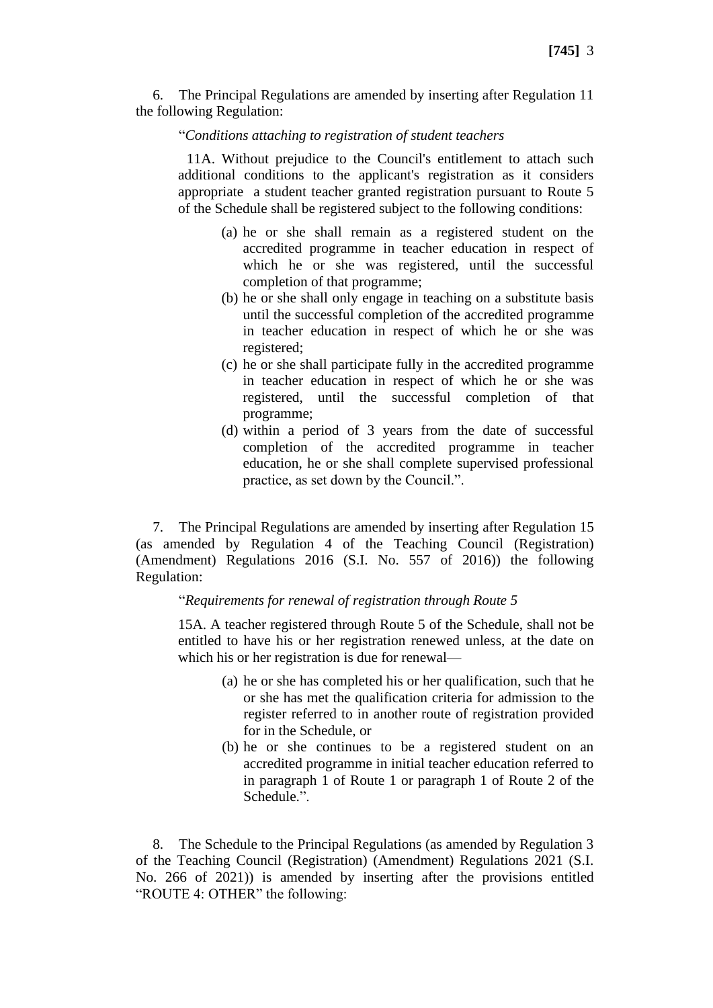6. The Principal Regulations are amended by inserting after Regulation 11 the following Regulation:

#### "*Conditions attaching to registration of student teachers*

11A. Without prejudice to the Council's entitlement to attach such additional conditions to the applicant's registration as it considers appropriate a student teacher granted registration pursuant to Route 5 of the Schedule shall be registered subject to the following conditions:

- (a) he or she shall remain as a registered student on the accredited programme in teacher education in respect of which he or she was registered, until the successful completion of that programme;
- (b) he or she shall only engage in teaching on a substitute basis until the successful completion of the accredited programme in teacher education in respect of which he or she was registered;
- (c) he or she shall participate fully in the accredited programme in teacher education in respect of which he or she was registered, until the successful completion of that programme;
- (d) within a period of 3 years from the date of successful completion of the accredited programme in teacher education, he or she shall complete supervised professional practice, as set down by the Council.".

7. The Principal Regulations are amended by inserting after Regulation 15 (as amended by Regulation 4 of the Teaching Council (Registration) (Amendment) Regulations 2016 (S.I. No. 557 of 2016)) the following Regulation:

#### "*Requirements for renewal of registration through Route 5*

15A. A teacher registered through Route 5 of the Schedule, shall not be entitled to have his or her registration renewed unless, at the date on which his or her registration is due for renewal—

- (a) he or she has completed his or her qualification, such that he or she has met the qualification criteria for admission to the register referred to in another route of registration provided for in the Schedule, or
- (b) he or she continues to be a registered student on an accredited programme in initial teacher education referred to in paragraph 1 of Route 1 or paragraph 1 of Route 2 of the Schedule.".

8. The Schedule to the Principal Regulations (as amended by Regulation 3 of the Teaching Council (Registration) (Amendment) Regulations 2021 (S.I. No. 266 of 2021)) is amended by inserting after the provisions entitled "ROUTE 4: OTHER" the following: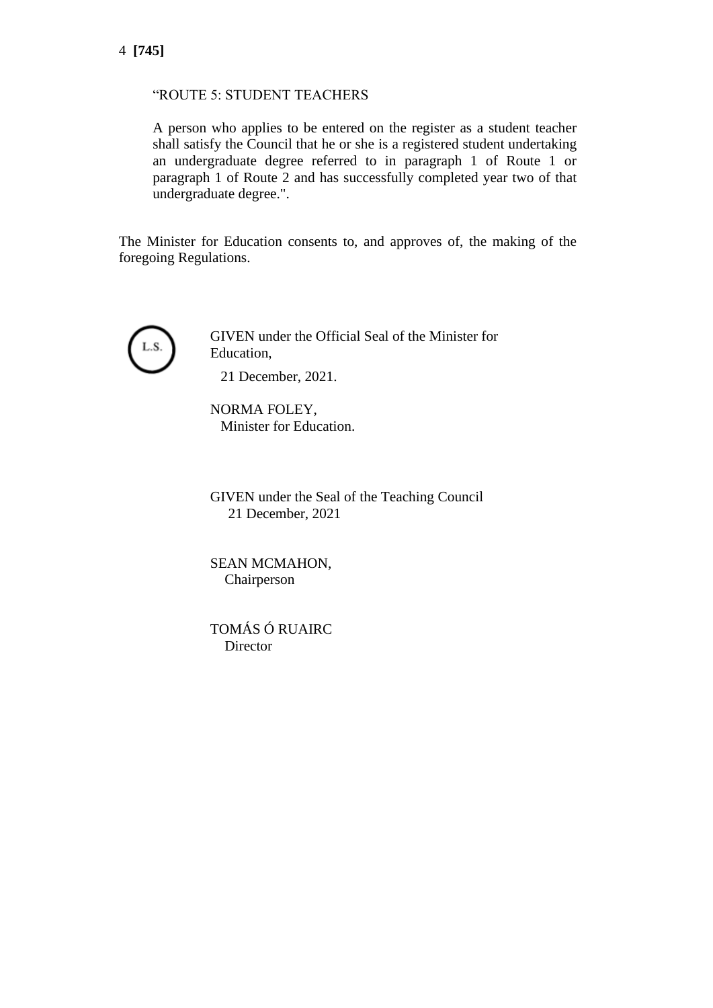## 4 **[745]**

#### "ROUTE 5: STUDENT TEACHERS

A person who applies to be entered on the register as a student teacher shall satisfy the Council that he or she is a registered student undertaking an undergraduate degree referred to in paragraph 1 of Route 1 or paragraph 1 of Route 2 and has successfully completed year two of that undergraduate degree.".

The Minister for Education consents to, and approves of, the making of the foregoing Regulations.



GIVEN under the Official Seal of the Minister for Education,

21 December, 2021.

NORMA FOLEY, Minister for Education.

GIVEN under the Seal of the Teaching Council 21 December, 2021

SEAN MCMAHON, Chairperson

TOMÁS Ó RUAIRC **Director**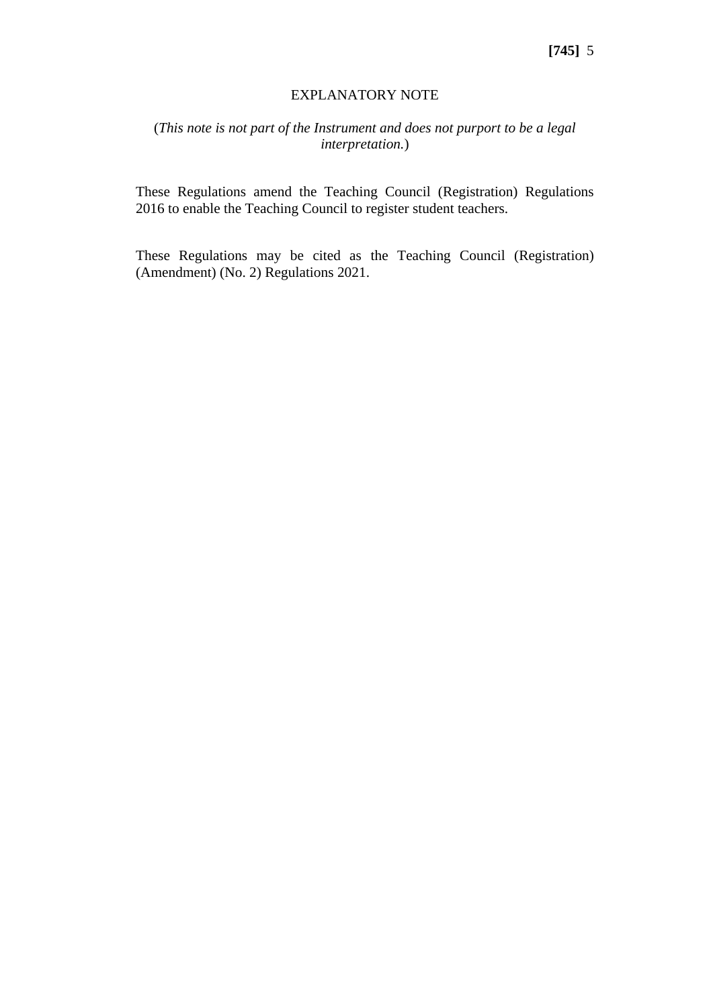#### EXPLANATORY NOTE

### (*This note is not part of the Instrument and does not purport to be a legal interpretation.*)

These Regulations amend the Teaching Council (Registration) Regulations 2016 to enable the Teaching Council to register student teachers.

These Regulations may be cited as the Teaching Council (Registration) (Amendment) (No. 2) Regulations 2021.